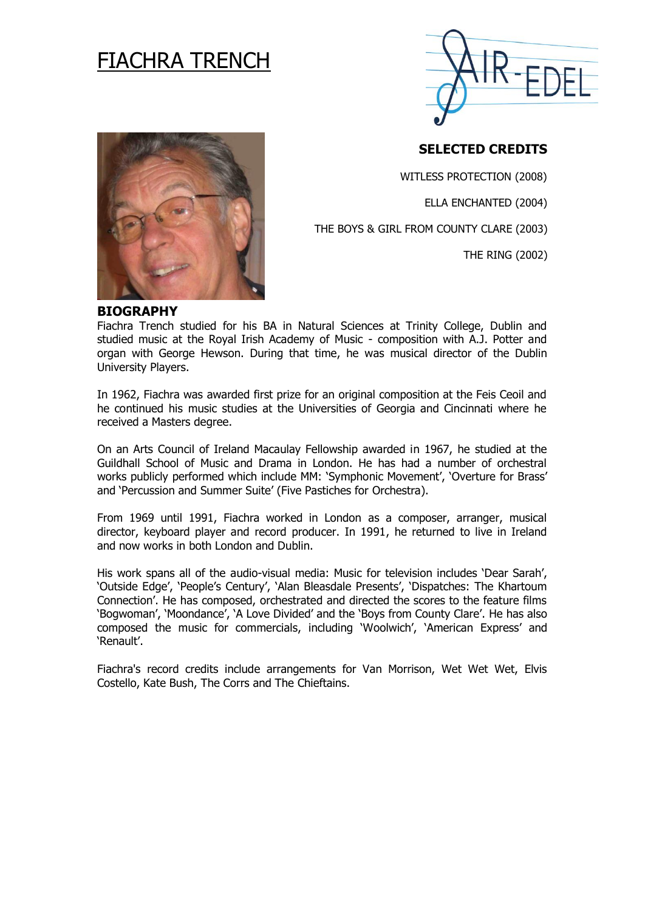# FIACHRA TRENCH



# **SELECTED CREDITS**

WITLESS PROTECTION (2008)

ELLA ENCHANTED (2004)

THE BOYS & GIRL FROM COUNTY CLARE (2003)

THE RING (2002)



#### **BIOGRAPHY**

Fiachra Trench studied for his BA in Natural Sciences at Trinity College, Dublin and studied music at the Royal Irish Academy of Music - composition with A.J. Potter and organ with George Hewson. During that time, he was musical director of the Dublin University Players.

In 1962, Fiachra was awarded first prize for an original composition at the Feis Ceoil and he continued his music studies at the Universities of Georgia and Cincinnati where he received a Masters degree.

On an Arts Council of Ireland Macaulay Fellowship awarded in 1967, he studied at the Guildhall School of Music and Drama in London. He has had a number of orchestral works publicly performed which include MM: 'Symphonic Movement', 'Overture for Brass' and 'Percussion and Summer Suite' (Five Pastiches for Orchestra).

From 1969 until 1991, Fiachra worked in London as a composer, arranger, musical director, keyboard player and record producer. In 1991, he returned to live in Ireland and now works in both London and Dublin.

His work spans all of the audio-visual media: Music for television includes 'Dear Sarah', 'Outside Edge', 'People's Century', 'Alan Bleasdale Presents', 'Dispatches: The Khartoum Connection'. He has composed, orchestrated and directed the scores to the feature films 'Bogwoman', 'Moondance', 'A Love Divided' and the 'Boys from County Clare'. He has also composed the music for commercials, including 'Woolwich', 'American Express' and 'Renault'.

Fiachra's record credits include arrangements for Van Morrison, Wet Wet Wet, Elvis Costello, Kate Bush, The Corrs and The Chieftains.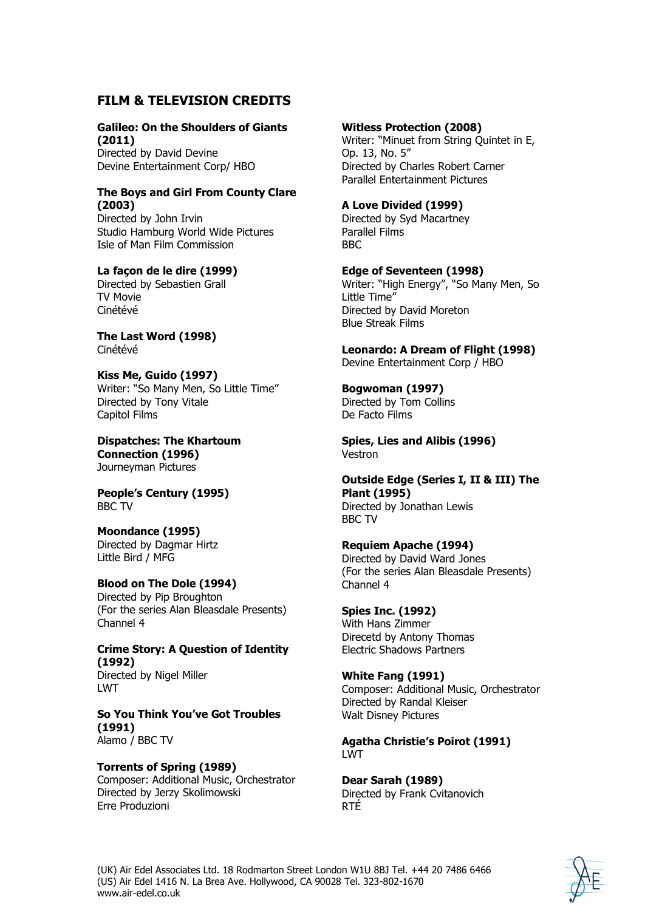## **FILM & TELEVISION CREDITS**

#### **Galileo: On the Shoulders of Giants (2011)**

Directed by David Devine Devine Entertainment Corp/ HBO

#### **The Boys and Girl From County Clare (2003)**

Directed by John Irvin Studio Hamburg World Wide Pictures Isle of Man Film Commission

#### **La façon de le dire (1999)**

Directed by Sebastien Grall TV Movie Cinétévé

**The Last Word (1998)** Cinétévé

**Kiss Me, Guido (1997)**  Writer: "So Many Men, So Little Time" Directed by Tony Vitale Capitol Films

**Dispatches: The Khartoum Connection (1996)** Journeyman Pictures

**People's Century (1995)**  BBC TV

# **Moondance (1995)**

Directed by Dagmar Hirtz Little Bird / MFG

#### **Blood on The Dole (1994)**

Directed by Pip Broughton (For the series Alan Bleasdale Presents) Channel 4

**Crime Story: A Question of Identity (1992)** Directed by Nigel Miller LWT

**So You Think You've Got Troubles (1991)** Alamo / BBC TV

#### **Torrents of Spring (1989)**

Composer: Additional Music, Orchestrator Directed by Jerzy Skolimowski Erre Produzioni

#### **Witless Protection (2008)**

Writer: "Minuet from String Quintet in E, Op. 13, No. 5" Directed by Charles Robert Carner Parallel Entertainment Pictures

#### **A Love Divided (1999)**

Directed by Syd Macartney Parallel Films BBC

#### **Edge of Seventeen (1998)**

Writer: "High Energy", "So Many Men, So Little Time" Directed by David Moreton Blue Streak Films

**Leonardo: A Dream of Flight (1998)** Devine Entertainment Corp / HBO

#### **Bogwoman (1997)**

Directed by Tom Collins De Facto Films

**Spies, Lies and Alibis (1996)** Vestron

#### **Outside Edge (Series I, II & III) The Plant (1995)** Directed by Jonathan Lewis

BBC TV

#### **Requiem Apache (1994)**

Directed by David Ward Jones (For the series Alan Bleasdale Presents) Channel 4

## **Spies Inc. (1992)**

With Hans Zimmer Direcetd by Antony Thomas Electric Shadows Partners

#### **White Fang (1991)**

Composer: Additional Music, Orchestrator Directed by Randal Kleiser Walt Disney Pictures

#### **Agatha Christie's Poirot (1991)** LWT

**Dear Sarah (1989)** Directed by Frank Cvitanovich RTÉ

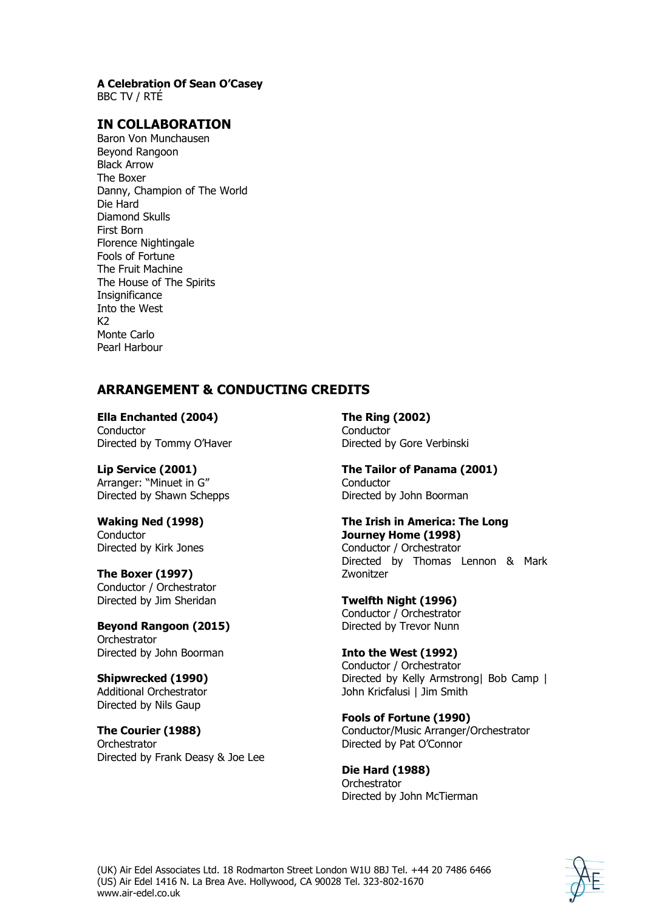#### **A Celebration Of Sean O'Casey**

BBC TV / RTÉ

## **IN COLLABORATION**

Baron Von Munchausen Beyond Rangoon Black Arrow The Boxer Danny, Champion of The World Die Hard Diamond Skulls First Born Florence Nightingale Fools of Fortune The Fruit Machine The House of The Spirits **Insignificance** Into the West  $K<sub>2</sub>$ Monte Carlo Pearl Harbour

# **ARRANGEMENT & CONDUCTING CREDITS**

**Ella Enchanted (2004) Conductor** Directed by Tommy O'Haver

**Lip Service (2001)** Arranger: "Minuet in G" Directed by Shawn Schepps

**Waking Ned (1998) Conductor** Directed by Kirk Jones

**The Boxer (1997)** Conductor / Orchestrator Directed by Jim Sheridan

**Beyond Rangoon (2015) Orchestrator** Directed by John Boorman

**Shipwrecked (1990)** Additional Orchestrator Directed by Nils Gaup

**The Courier (1988) Orchestrator** Directed by Frank Deasy & Joe Lee **The Ring (2002) Conductor** Directed by Gore Verbinski

**The Tailor of Panama (2001) Conductor** Directed by John Boorman

# **The Irish in America: The Long Journey Home (1998)** Conductor / Orchestrator

Directed by Thomas Lennon & Mark Zwonitzer

**Twelfth Night (1996)** Conductor / Orchestrator Directed by Trevor Nunn

**Into the West (1992)** Conductor / Orchestrator Directed by Kelly Armstrong| Bob Camp | John Kricfalusi | Jim Smith

**Fools of Fortune (1990)** Conductor/Music Arranger/Orchestrator Directed by Pat O'Connor

**Die Hard (1988) Orchestrator** Directed by John McTierman

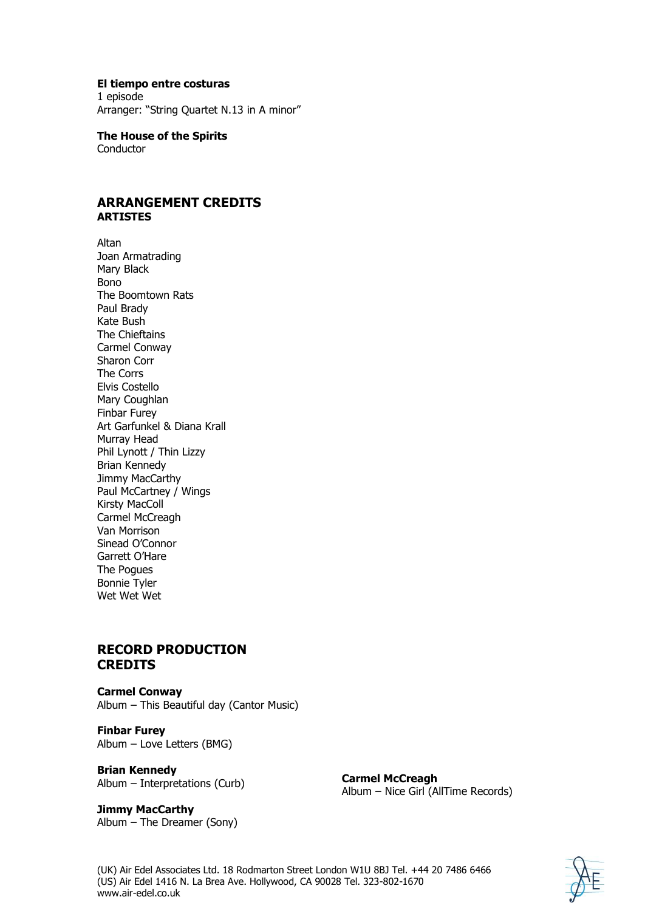#### **El tiempo entre costuras**

1 episode Arranger: "String Quartet N.13 in A minor"

**The House of the Spirits Conductor** 

#### **ARRANGEMENT CREDITS ARTISTES**

Altan Joan Armatrading Mary Black Bono The Boomtown Rats Paul Brady Kate Bush The Chieftains Carmel Conway Sharon Corr The Corrs Elvis Costello Mary Coughlan Finbar Furey Art Garfunkel & Diana Krall Murray Head Phil Lynott / Thin Lizzy Brian Kennedy Jimmy MacCarthy Paul McCartney / Wings Kirsty MacColl Carmel McCreagh Van Morrison Sinead O'Connor Garrett O'Hare The Pogues Bonnie Tyler Wet Wet Wet

## **RECORD PRODUCTION CREDITS**

**Carmel Conway** Album – This Beautiful day (Cantor Music)

**Finbar Furey**  Album – Love Letters (BMG)

**Brian Kennedy** Album – Interpretations (Curb)

**Carmel McCreagh**  Album – Nice Girl (AllTime Records)

**Jimmy MacCarthy**  Album – The Dreamer (Sony)

(UK) Air Edel Associates Ltd. 18 Rodmarton Street London W1U 8BJ Tel. +44 20 7486 6466 (US) Air Edel 1416 N. La Brea Ave. Hollywood, CA 90028 Tel. 323-802-1670 www.air-edel.co.uk